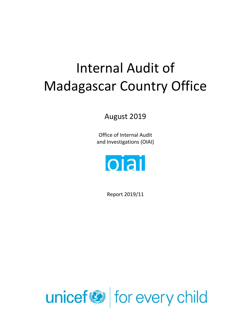# Internal Audit of Madagascar Country Office

August 2019

Office of Internal Audit and Investigations (OIAI)



Report 2019/11

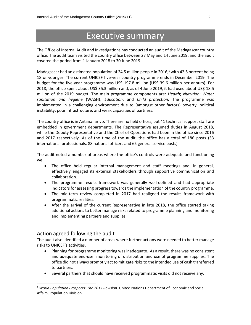### Executive summary

\_\_\_\_\_\_\_\_\_\_\_\_\_\_\_\_\_\_\_\_\_\_\_\_\_\_\_\_\_\_\_\_\_\_\_\_\_\_\_\_\_\_\_\_\_\_\_\_\_\_\_\_\_\_\_\_\_\_\_\_\_\_\_\_\_\_\_\_\_\_\_\_\_\_\_\_\_\_

The Office of Internal Audit and Investigations has conducted an audit of the Madagascar country office. The audit team visited the country office between 27 May and 14 June 2019, and the audit covered the period from 1 January 2018 to 30 June 2019.

Madagascar had an estimated population of 24.5 million people in 2016,<sup>1</sup> with 42.5 percent being 18 or younger. The current UNICEF five-year country programme ends in December 2019. The budget for the five-year programme was US\$ 197.8 million (US\$ 39.6 million per annum). For 2018, the office spent about US\$ 35.3 million and, as of 4 June 2019, it had used about US\$ 18.5 million of the 2019 budget. The main programme components are: *Health*; *Nutrition*; *Water sanitation and hygiene* (WASH); *Education*; and *Child protection*. The programme was implemented in a challenging environment due to (amongst other factors) poverty, political instability, poor infrastructure, and weak capacities of partners.

The country office is in Antananarivo. There are no field offices, but 41 technical support staff are embedded in government departments. The Representative assumed duties in August 2018, while the Deputy Representative and the Chief of Operations had been in the office since 2016 and 2017 respectively. As of the time of the audit, the office has a total of 186 posts (33 international professionals, 88 national officers and 65 general service posts).

The audit noted a number of areas where the office's controls were adequate and functioning well.

- The office held regular internal management and staff meetings and, in general, effectively engaged its external stakeholders through supportive communication and collaboration.
- The programme results framework was generally well-defined and had appropriate indicators for assessing progress towards the implementation of the country programme.
- The mid-term review completed in 2017 had realigned the results framework with programmatic realities.
- After the arrival of the current Representative in late 2018, the office started taking additional actions to better manage risks related to programme planning and monitoring and implementing partners and supplies.

#### Action agreed following the audit

 $\overline{\phantom{a}}$ 

The audit also identified a number of areas where further actions were needed to better manage risks to UNICEF's activities.

- Planning for programme monitoring was inadequate. As a result, there was no consistent and adequate end-user monitoring of distribution and use of programme supplies. The office did not always promptly act to mitigate risks to the intended use of cash transferred to partners.
- Several partners that should have received programmatic visits did not receive any.

<sup>1</sup> *World Population Prospects: The 2017 Revision*. United Nations Department of Economic and Social Affairs, Population Division.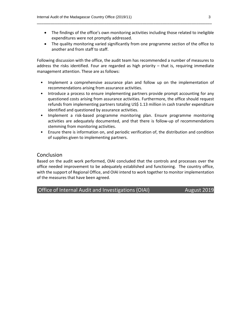• The findings of the office's own monitoring activities including those related to ineligible expenditures were not promptly addressed.

\_\_\_\_\_\_\_\_\_\_\_\_\_\_\_\_\_\_\_\_\_\_\_\_\_\_\_\_\_\_\_\_\_\_\_\_\_\_\_\_\_\_\_\_\_\_\_\_\_\_\_\_\_\_\_\_\_\_\_\_\_\_\_\_\_\_\_\_\_\_\_\_\_\_\_\_\_\_

• The quality monitoring varied significantly from one programme section of the office to another and from staff to staff.

Following discussion with the office, the audit team has recommended a number of measures to address the risks identified. Four are regarded as high priority – that is, requiring immediate management attention. These are as follows:

- Implement a comprehensive assurance plan and follow up on the implementation of recommendations arising from assurance activities.
- Introduce a process to ensure implementing partners provide prompt accounting for any questioned costs arising from assurance activities. Furthermore, the office should request refunds from implementing partners totaling US\$ 1.13 million in cash transfer expenditure identified and questioned by assurance activities.
- Implement a risk-based programme monitoring plan. Ensure programme monitoring activities are adequately documented, and that there is follow-up of recommendations stemming from monitoring activities.
- Ensure there is information on, and periodic verification of, the distribution and condition of supplies given to implementing partners.

#### Conclusion

Based on the audit work performed, OIAI concluded that the controls and processes over the office needed improvement to be adequately established and functioning. The country office, with the support of Regional Office, and OIAI intend to work together to monitor implementation of the measures that have been agreed.

Office of Internal Audit and Investigations (OIAI) August 2019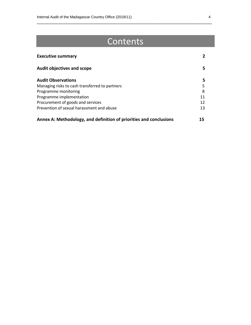## Contents

\_\_\_\_\_\_\_\_\_\_\_\_\_\_\_\_\_\_\_\_\_\_\_\_\_\_\_\_\_\_\_\_\_\_\_\_\_\_\_\_\_\_\_\_\_\_\_\_\_\_\_\_\_\_\_\_\_\_\_\_\_\_\_\_\_\_\_\_\_\_\_\_\_\_\_\_\_\_

| <b>Executive summary</b>                                           |    |
|--------------------------------------------------------------------|----|
| <b>Audit objectives and scope</b>                                  | 5. |
| <b>Audit Observations</b>                                          | 5. |
| Managing risks to cash transferred to partners                     | 5  |
| Programme monitoring                                               | 8  |
| Programme implementation                                           | 11 |
| Procurement of goods and services                                  | 12 |
| Prevention of sexual harassment and abuse                          | 13 |
| Annex A: Methodology, and definition of priorities and conclusions | 15 |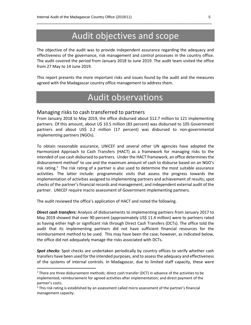### Audit objectives and scope

\_\_\_\_\_\_\_\_\_\_\_\_\_\_\_\_\_\_\_\_\_\_\_\_\_\_\_\_\_\_\_\_\_\_\_\_\_\_\_\_\_\_\_\_\_\_\_\_\_\_\_\_\_\_\_\_\_\_\_\_\_\_\_\_\_\_\_\_\_\_\_\_\_\_\_\_\_\_

The objective of the audit was to provide independent assurance regarding the adequacy and effectiveness of the governance, risk management and control processes in the country office. The audit covered the period from January 2018 to June 2019. The audit team visited the office from 27 May to 14 June 2019.

This report presents the more important risks and issues found by the audit and the measures agreed with the Madagascar country office management to address them.

### Audit observations

#### Managing risks to cash transferred to partners

From January 2018 to May 2019, the office disbursed about \$12.7 million to 121 implementing partners. Of this amount, about U\$ 10.5 million (83 percent) was disbursed to 105 Government partners and about US\$ 2.2 million (17 percent) was disbursed to non-governmental implementing partners (NGOs).

To obtain reasonable assurance, UNICEF and several other UN agencies have adopted the Harmonized Approach to Cash Transfers (HACT) as a framework for managing risks to the intended of use cash disbursed to partners. Under the HACT framework, an office determines the disbursement method<sup>2</sup> to use and the maximum amount of cash to disburse based on an NGO's risk rating.<sup>3</sup> The risk rating of a partner is also used to determine the most suitable assurance activities. The latter include: programmatic visits that assess the progress towards the implementation of activities assigned to implementing partners and achievement of results; spot checks of the partner's financial records and management; and independent external audit of the partner. UNICEF require macro assessment of Government implementing partners.

The audit reviewed the office's application of HACT and noted the following.

 $\overline{\phantom{a}}$ 

*Direct cash transfers:* Analysis of disbursements to implementing partners from January 2017 to May 2019 showed that over 90 percent (approximately US\$ 11.4 million) were to partners rated as having either high or significant risk through Direct Cash Transfers (DCTs). The office told the audit that its implementing partners did not have sufficient financial resources for the reimbursement method to be used. This may have been the case; however, as indicated below, the office did not adequately manage the risks associated with DCTs.

*Spot checks:* Spot checks are undertaken periodically by country offices to verify whether cash transfers have been used for the intended purposes, and to assess the adequacy and effectiveness of the systems of internal controls. In Madagascar, due to limited staff capacity, these were

 $<sup>2</sup>$  There are three disbursement methods: direct cash transfer (DCT) in advance of the activities to be</sup> implemented; reimbursement for agreed activities after implementation; and direct payment of the partner's costs.

 $3$  This risk rating is established by an assessment called micro assessment of the partner's financial management capacity.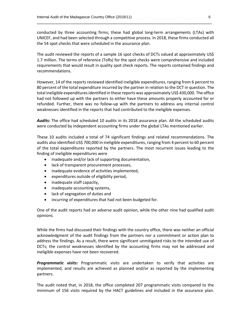conducted by three accounting firms; these had global long-term arrangements (LTAs) with UNICEF, and had been selected through a competitive process. In 2018, these firms conducted all the 54 spot checks that were scheduled in the assurance plan.

\_\_\_\_\_\_\_\_\_\_\_\_\_\_\_\_\_\_\_\_\_\_\_\_\_\_\_\_\_\_\_\_\_\_\_\_\_\_\_\_\_\_\_\_\_\_\_\_\_\_\_\_\_\_\_\_\_\_\_\_\_\_\_\_\_\_\_\_\_\_\_\_\_\_\_\_\_\_

The audit reviewed the reports of a sample 16 spot checks of DCTs valued at approximately US\$ 1.7 million. The terms of reference (ToRs) for the spot checks were comprehensive and included requirements that would result in quality spot check reports. The reports contained findings and recommendations.

However, 14 of the reports reviewed identified ineligible expenditures, ranging from 6 percent to 80 percent of the total expenditure incurred by the partner in relation to the DCT in question. The total ineligible expenditures identified in these reports was approximately US\$ 430,000. The office had not followed up with the partners to either have these amounts properly accounted for or refunded. Further, there was no follow-up with the partners to address any internal control weaknesses identified in the reports that had contributed to the ineligible expenses.

*Audits:* The office had scheduled 10 audits in its 2018 assurance plan. All the scheduled audits were conducted by independent accounting firms under the global LTAs mentioned earlier.

These 10 audits included a total of 74 significant findings and related recommendations. The audits also identified US\$ 700,000 in ineligible expenditures, ranging from 4 percent to 60 percent of the total expenditures reported by the partners. The most recurrent issues leading to the finding of ineligible expenditures were

- inadequate and/or lack of supporting documentation,
- lack of transparent procurement processes,
- inadequate evidence of activities implemented,
- expenditures outside of eligibility period,
- inadequate staff capacity,
- inadequate accounting systems,
- lack of segregation of duties and
- incurring of expenditures that had not been budgeted for.

One of the audit reports had an adverse audit opinion, while the other nine had qualified audit opinions.

While the firms had discussed their findings with the country office, there was neither an official acknowledgment of the audit findings from the partners nor a commitment or action plan to address the findings. As a result, there were significant unmitigated risks to the intended use of DCTs; the control weaknesses identified by the accounting firms may not be addressed and ineligible expenses have not been recovered.

*Programmatic visits:* Programmatic visits are undertaken to verify that activities are implemented, and results are achieved as planned and/or as reported by the implementing partners.

The audit noted that, in 2018, the office completed 207 programmatic visits compared to the minimum of 156 visits required by the HACT guidelines and included in the assurance plan.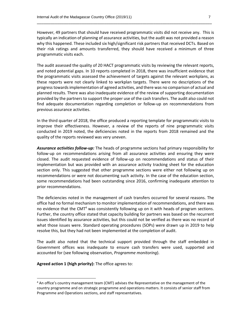However, 49 partners that should have received programmatic visits did not receive any. This is typically an indication of planning of assurance activities, but the audit was not provided a reason why this happened. These included six high/significant risk partners that received DCTs. Based on their risk ratings and amounts transferred, they should have received a minimum of three programmatic visits each.

\_\_\_\_\_\_\_\_\_\_\_\_\_\_\_\_\_\_\_\_\_\_\_\_\_\_\_\_\_\_\_\_\_\_\_\_\_\_\_\_\_\_\_\_\_\_\_\_\_\_\_\_\_\_\_\_\_\_\_\_\_\_\_\_\_\_\_\_\_\_\_\_\_\_\_\_\_\_

The audit assessed the quality of 20 HACT programmatic visits by reviewing the relevant reports, and noted potential gaps. In 10 reports completed in 2018, there was insufficient evidence that the programmatic visits assessed the achievement of targets against the relevant workplans, as these reports were not clearly linked to workplan targets. There were no descriptions of the progress towards implementation of agreed activities, and there was no comparison of actual and planned results. There was also inadequate evidence of the review of supporting documentation provided by the partners to support the proper use of the cash transfers. The audit also could not find adequate documentation regarding completion or follow-up on recommendations from previous assurance activities.

In the third quarter of 2018, the office produced a reporting template for programmatic visits to improve their effectiveness. However, a review of the reports of nine programmatic visits conducted in 2019 noted, the deficiencies noted in the reports from 2018 remained and the quality of the reports reviewed was very uneven.

*Assurance activities follow-up:* The heads of programme sections had primary responsibility for follow-up on recommendations arising from all assurance activities and ensuring they were closed. The audit requested evidence of follow-up on recommendations and status of their implementation but was provided with an assurance activity tracking sheet for the education section only. This suggested that other programme sections were either not following up on recommendations or were not documenting such activity. In the case of the education section, some recommendations had been outstanding since 2016, confirming inadequate attention to prior recommendations.

The deficiencies noted in the management of cash transfers occurred for several reasons. The office had no formal mechanism to monitor implementation of recommendations, and there was no evidence that the CMT<sup>4</sup> was consistently following up on it with heads of program sections. Further, the country office stated that capacity building for partners was based on the recurrent issues identified by assurance activities, but this could not be verified as there was no record of what those issues were. Standard operating procedures (SOPs) were drawn up in 2019 to help resolve this, but they had not been implemented at the completion of audit.

The audit also noted that the technical support provided through the staff embedded in Government offices was inadequate to ensure cash transfers were used, supported and accounted for (see following observation, *Programme monitoring*).

**Agreed action 1 (high priority):** The office agrees to:

 $\overline{a}$ 

<sup>&</sup>lt;sup>4</sup> An office's country management team (CMT) advises the Representative on the management of the country programme and on strategic programme and operations matters. It consists of senior staff from Programme and Operations sections, and staff representatives.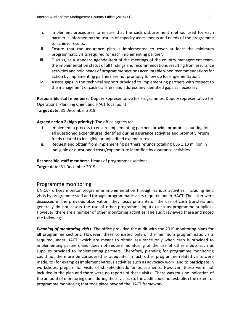i. Implement procedures to ensure that the cash disbursement method used for each partner is informed by the results of capacity assessments and needs of the programme to achieve results.

\_\_\_\_\_\_\_\_\_\_\_\_\_\_\_\_\_\_\_\_\_\_\_\_\_\_\_\_\_\_\_\_\_\_\_\_\_\_\_\_\_\_\_\_\_\_\_\_\_\_\_\_\_\_\_\_\_\_\_\_\_\_\_\_\_\_\_\_\_\_\_\_\_\_\_\_\_\_

- ii. Ensure that the assurance plan is implemented to cover at least the minimum programmatic visits required for each implementing partner.
- iii. Discuss, as a standard agenda item of the meetings of the country management team, the implementation status of all findings and recommendations resulting from assurance activities and hold heads of programme sections accountable when recommendations for action by implementing partners are not promptly follow up for implementation.
- iv. Assess gaps in the technical support provided to implementing partners with respect to the management of cash transfers and address any identified gaps as necessary.

**Responsible staff members**: Deputy Representative for Programmes, Deputy representative for Operations, Planning Chief, and HACT focal point **Target date:** 31 December 2019

#### **Agreed action 2 (high priority):** The office agrees to:

- i. Implement a process to ensure implementing partners provide prompt accounting for all questioned expenditures identified during assurance activities and promptly return funds related to ineligible or unjustified expenditures.
- ii. Request and obtain from implementing partners refunds totalling US\$ 1.13 million in ineligible or questioned costs/expenditure identified by assurance activities.

#### **Responsible staff members**: Heads of programmes sections

**Target date:** 31 December 2019

#### Programme monitoring

UNICEF offices monitor programme implementation through various activities, including field visits by programme staff and through programmatic visits required under HACT. The latter were discussed in the previous observation; they focus primarily on the use of cash transfers and generally do not assess the use of other programme inputs (such as programme supplies). However, there are a number of other monitoring activities. The audit reviewed these and noted the following.

*Planning of monitoring visits:* The office provided the audit with the 2019 monitoring plans for all programme sections. However, these consisted only of the minimum programmatic visits required under HACT, which are meant to obtain assurance only when cash is provided to implementing partners and does not require monitoring of the use of other inputs such as supplies provided to implementing partners. Therefore, planning for programme monitoring could not therefore be considered as adequate. In fact, other programme-related visits were made, to (for example) implement various activities such as advocacy work, and to participate in workshops, prepare for visits of stakeholder/donor assessments. However, these were not included in the plan and there were no reports of these visits. There was thus no indication of the amount of monitoring done during these visits; so, the audit could not establish the extent of programme monitoring that took place beyond the HACT framework.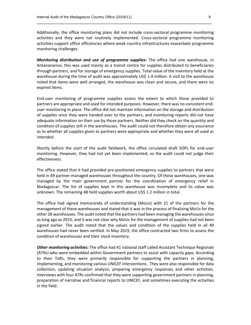Additionally, the office monitoring plans did not include cross-sectoral programme monitoring activities and they were not routinely implemented. Cross-sectoral programme monitoring activities support office efficiencies where weak country infrastructures exacerbate programme monitoring challenges.

\_\_\_\_\_\_\_\_\_\_\_\_\_\_\_\_\_\_\_\_\_\_\_\_\_\_\_\_\_\_\_\_\_\_\_\_\_\_\_\_\_\_\_\_\_\_\_\_\_\_\_\_\_\_\_\_\_\_\_\_\_\_\_\_\_\_\_\_\_\_\_\_\_\_\_\_\_\_

*Monitoring distribution and use of programme supplies:* The office had one warehouse, in Antananarivo; this was used mainly as a transit centre for supplies distributed to beneficiaries through partners, and for storage of emergency supplies. Total value of the inventory held at the warehouse during the time of audit was approximately US\$ 1.4 million. A visit to the warehouse noted that items were well arranged, the warehouse was clean and secure, and there were no expired items.

End-user monitoring of programme supplies assess the extent to which those provided to partners are appropriate and used for intended purposes. However, there was no consistent enduser monitoring in place. The office did not maintain information on the storage and distribution of supplies once they were handed over to the partners, and monitoring reports did not have adequate information on their use by those partners. Neither did they check on the quantity and condition of supplies still in the warehouses. The audit could not therefore obtain any assurance as to whether all supplies given to partners were appropriate and whether they were all used as intended.

Shortly before the start of the audit fieldwork, the office circulated draft SOPs for end-user monitoring. However, they had not yet been implemented, so the audit could not judge their effectiveness.

The office stated that it had provided pre-positioned emergency supplies to partners that were held in 49 partner-managed warehouses throughout the country. Of these warehouses, one was managed by the main government partner for the coordination of emergency relief in Madagascar. The list of supplies kept in this warehouse was incomplete and its value was unknown. The remaining 48 held supplies worth about US\$ 1.2 million in total.

The office had signed memoranda of understanding (MoUs) with 21 of the partners for the management of these warehouses and stated that it was in the process of finalizing MoUs for the other 28 warehouses. The audit noted that the partners had been managing the warehouses since as long ago as 2015, and it was not clear why MoUs for the management of supplies had not been signed earlier. The audit noted that the values and condition of the supplies held in all 49 warehouses had never been verified. In May 2019, the office contracted two firms to assess the condition of warehouses and their stock inventory.

*Other monitoring activities:* The office had 41 national staff called Assistant Technique Regionals (ATRs) who were embedded within Government partners to assist with capacity gaps. According to their ToRs, they were primarily responsible for supporting the partners in planning, implementing, and monitoring various UNICEF interventions. They were also responsible for data collection, updating situation analysis, preparing emergency responses and other activities. Interviews with four ATRs confirmed that they were supporting government partners in planning, preparation of narrative and financial reports to UNICEF, and sometimes executing the activities in the field.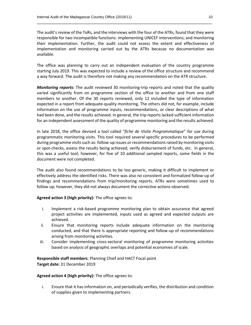The audit's review of the ToRs, and the interviews with the four of the ATRs, found that they were responsible for two incompatible functions: implementing UNICEF interventions; and monitoring their implementation. Further, the audit could not assess the extent and effectiveness of implementation and monitoring carried out by the ATRs because no documentation was available.

\_\_\_\_\_\_\_\_\_\_\_\_\_\_\_\_\_\_\_\_\_\_\_\_\_\_\_\_\_\_\_\_\_\_\_\_\_\_\_\_\_\_\_\_\_\_\_\_\_\_\_\_\_\_\_\_\_\_\_\_\_\_\_\_\_\_\_\_\_\_\_\_\_\_\_\_\_\_

The office was planning to carry out an independent evaluation of the country programme starting July 2019. This was expected to include a review of the office structure and recommend a way forward. The audit is therefore not making any recommendation on the ATR structure.

*Monitoring reports:* The audit reviewed 30 monitoring-trip reports and noted that the quality varied significantly from on programme section of the office to another and from one staff members to another. Of the 30 reports reviewed, only 12 included the type of information expected in a report from adequate-quality monitoring. The others did not, for example, include information on the use of programme inputs, recommendations, or clear descriptions of what had been done, and the results achieved. In general, the trip reports lacked sufficient information for an independent assessment of the quality of programme monitoring and the results achieved.

In late 2018, the office devised a tool called "*fiche de Visite Programmatique*" for use during programmatic monitoring visits. This tool required several specific procedures to be performed during programme visits such as: follow-up issues or recommendations raised by monitoring visits or spot-checks, assess the results being achieved, verify disbursement of funds, etc. In general, this was a useful tool; however, for five of 10 additional sampled reports, some fields in the document were not completed.

The audit also found recommendations to be too generic, making it difficult to implement or effectively address the identified risks. There was also no consistent and formalized follow-up of findings and recommendations from trip/monitoring reports. ATRs were sometimes used to follow up; however, they did not always document the corrective actions observed.

**Agreed action 3 (high priority):** The office agrees to:

- i. Implement a risk-based programme monitoring plan to obtain assurance that agreed project activities are implemented, inputs used as agreed and expected outputs are achieved.
- ii. Ensure that monitoring reports include adequate information on the monitoring conducted, and that there is appropriate reporting and follow-up of recommendations arising from monitoring activities.
- iii. Consider implementing cross-sectoral monitoring of programme monitoring activities based on analysis of geographic overlaps and potential economies of scale.

**Responsible staff members**: Planning Chief and HACT Focal point **Target date:** 31 December 2019

#### **Agreed action 4 (high priority):** The office agrees to:

i. Ensure that it has information on, and periodically verifies, the distribution and condition of supplies given to implementing partners.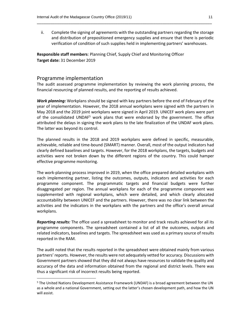ii. Complete the signing of agreements with the outstanding partners regarding the storage and distribution of prepositioned emergency supplies and ensure that there is periodic verification of condition of such supplies held in implementing partners' warehouses.

\_\_\_\_\_\_\_\_\_\_\_\_\_\_\_\_\_\_\_\_\_\_\_\_\_\_\_\_\_\_\_\_\_\_\_\_\_\_\_\_\_\_\_\_\_\_\_\_\_\_\_\_\_\_\_\_\_\_\_\_\_\_\_\_\_\_\_\_\_\_\_\_\_\_\_\_\_\_

**Responsible staff members**: Planning Chief, Supply Chief and Monitoring Officer **Target date:** 31 December 2019

#### Programme implementation

 $\overline{a}$ 

The audit assessed programme implementation by reviewing the work planning process, the financial resourcing of planned results, and the reporting of results achieved.

*Work planning:* Workplans should be signed with key partners before the end of February of the year of implementation. However, the 2018 annual workplans were signed with the partners in May 2018 and the 2019 joint workplans were signed in April 2019. UNICEF work plans were part of the consolidated UNDAF<sup>5</sup> work plans that were endorsed by the government. The office attributed the delays in signing the work plans to the late finalization of the UNDAF work plans. The latter was beyond its control.

The planned results in the 2018 and 2019 workplans were defined in specific, measurable, achievable, reliable and time-bound (SMART) manner. Overall, most of the output indicators had clearly defined baselines and targets. However, for the 2018 workplans, the targets, budgets and activities were not broken down by the different regions of the country. This could hamper effective programme monitoring.

The work-planning process improved in 2019, when the office prepared detailed workplans with each implementing partner, listing the outcomes, outputs, indicators and activities for each programme component. The programmatic targets and financial budgets were further disaggregated per region. The annual workplans for each of the programme component was supplemented with regional workplans, which were detailed, and which clearly allocated accountability between UNICEF and the partners. However, there was no clear link between the activities and the indicators in the workplans with the partners and the office's overall annual workplans.

*Reporting results:* The office used a spreadsheet to monitor and track results achieved for all its programme components. The spreadsheet contained a list of all the outcomes, outputs and related indicators, baselines and targets. The spreadsheet was used as a primary source of results reported in the RAM.

The audit noted that the results reported in the spreadsheet were obtained mainly from various partners' reports. However, the results were not adequately vetted for accuracy. Discussions with Government partners showed that they did not always have resources to validate the quality and accuracy of the data and information obtained from the regional and district levels. There was thus a significant risk of incorrect results being reported.

<sup>&</sup>lt;sup>5</sup> The United Nations Development Assistance Framework (UNDAF) is a broad agreement between the UN as a whole and a national Government, setting out the latter's chosen development path, and how the UN will assist.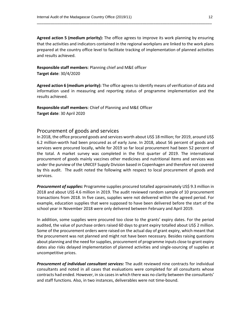**Agreed action 5 (medium priority):** The office agrees to improve its work planning by ensuring that the activities and indicators contained in the regional workplans are linked to the work plans prepared at the country office level to facilitate tracking of implementation of planned activities and results achieved.

\_\_\_\_\_\_\_\_\_\_\_\_\_\_\_\_\_\_\_\_\_\_\_\_\_\_\_\_\_\_\_\_\_\_\_\_\_\_\_\_\_\_\_\_\_\_\_\_\_\_\_\_\_\_\_\_\_\_\_\_\_\_\_\_\_\_\_\_\_\_\_\_\_\_\_\_\_\_

**Responsible staff members**: Planning chief and M&E officer **Target date**: 30/4/2020

**Agreed action 6 (medium priority):** The office agrees to identify means of verification of data and information used in measuring and reporting status of programme implementation and the results achieved.

**Responsible staff members**: Chief of Planning and M&E Officer **Target date**: 30 April 2020

#### Procurement of goods and services

In 2018, the office procured goods and services worth about US\$ 18 million; for 2019, around US\$ 6.2 million-worth had been procured as of early June. In 2018, about 56 percent of goods and services were procured locally, while for 2019 so far local procurement had been 52 percent of the total. A market survey was completed in the first quarter of 2019. The international procurement of goods mainly vaccines other medicines and nutritional items and services was under the purview of the UNICEF Supply Division based in Copenhagen and therefore not covered by this audit. The audit noted the following with respect to local procurement of goods and services.

*Procurement of supplies:* Programme supplies procured totalled approximately US\$ 9.3 million in 2018 and about US\$ 4.6 million in 2019. The audit reviewed random sample of 10 procurement transactions from 2018. In five cases, supplies were not delivered within the agreed period. For example, education supplies that were supposed to have been delivered before the start of the school year in November 2018 were only delivered between February and April 2019.

In addition, some supplies were procured too close to the grants' expiry dates. For the period audited, the value of purchase orders raised 60 days to grant expiry totalled about US\$ 2 million. Some of the procurement orders were raised on the actual day of grant expiry, which meant that the procurement was not planned and might not have been necessary. Besides raising questions about planning and the need for supplies, procurement of programme inputs close to grant expiry dates also risks delayed implementation of planned activities and single-sourcing of supplies at uncompetitive prices.

*Procurement of individual consultant services:* The audit reviewed nine contracts for individual consultants and noted in all cases that evaluations were completed for all consultants whose contracts had ended. However, in six cases in which there was no clarity between the consultants' and staff functions. Also, in two instances, deliverables were not time-bound.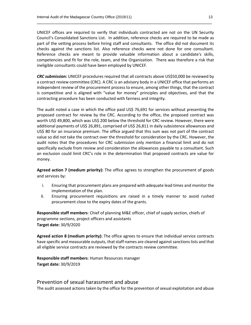UNICEF offices are required to verify that individuals contracted are not on the UN Security Council's Consolidated Sanctions List. In addition, reference checks are required to be made as part of the vetting process before hiring staff and consultants. The office did not document its checks against the sanctions list. Also reference checks were not done for one consultant. Reference checks are meant to provide valuable information about a candidate's skills, competencies and fit for the role, team, and the Organization. There was therefore a risk that ineligible consultants could have been employed by UNICEF.

\_\_\_\_\_\_\_\_\_\_\_\_\_\_\_\_\_\_\_\_\_\_\_\_\_\_\_\_\_\_\_\_\_\_\_\_\_\_\_\_\_\_\_\_\_\_\_\_\_\_\_\_\_\_\_\_\_\_\_\_\_\_\_\_\_\_\_\_\_\_\_\_\_\_\_\_\_\_

*CRC submission:* UNICEF procedures required that all contracts above US\$50,000 be reviewed by a contract review committee (CRC). A CRC is an advisory body in a UNICEF office that performs an independent review of the procurement process to ensure, among other things, that the contract is competitive and is aligned with "value for money" principles and objectives, and that the contracting procedure has been conducted with fairness and integrity.

The audit noted a case in which the office paid US\$ 76,691 for services without presenting the proposed contract for review by the CRC. According to the office, the proposed contract was worth US\$ 49,800, which was US\$ 200 below the threshold for CRC review. However, there were additional payments of US\$ 26,891, comprised of US\$ 26,811 in daily subsistence allowances and US\$ 80 for an insurance premium. The office argued that this sum was not part of the contract value so did not take the contract over the threshold for consideration by the CRC. However, the audit notes that the procedures for CRC submission only mention a financial limit and do not specifically exclude from review and consideration the allowances payable to a consultant. Such an exclusion could limit CRC's role in the determination that proposed contracts are value for money.

**Agreed action 7 (medium priority):** The office agrees to strengthen the procurement of goods and services by:

- i. Ensuring that procurement plans are prepared with adequate lead times and monitor the implementation of the plan.
- ii. Ensuring procurement requisitions are raised in a timely manner to avoid rushed procurement close to the expiry dates of the grants.

**Responsible staff members**: Chief of planning M&E officer, chief of supply section, chiefs of programme sections, project officers and assistants **Target date:** 30/9/2020

**Agreed action 8 (medium priority):** The office agrees to ensure that individual service contracts have specific and measurable outputs, that staff names are cleared against sanctions lists and that all eligible service contracts are reviewed by the contracts review committee.

**Responsible staff members**: Human Resources manager **Target date:** 30/9/2019

#### Prevention of sexual harassment and abuse

The audit assessed actions taken by the office for the prevention of sexual exploitation and abuse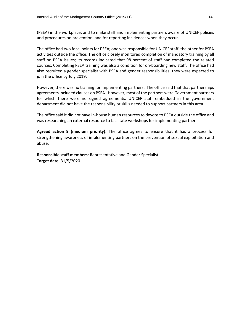(PSEA) in the workplace, and to make staff and implementing partners aware of UNICEF policies and procedures on prevention, and for reporting incidences when they occur.

\_\_\_\_\_\_\_\_\_\_\_\_\_\_\_\_\_\_\_\_\_\_\_\_\_\_\_\_\_\_\_\_\_\_\_\_\_\_\_\_\_\_\_\_\_\_\_\_\_\_\_\_\_\_\_\_\_\_\_\_\_\_\_\_\_\_\_\_\_\_\_\_\_\_\_\_\_\_

The office had two focal points for PSEA; one was responsible for UNICEF staff, the other for PSEA activities outside the office. The office closely monitored completion of mandatory training by all staff on PSEA issues; its records indicated that 98 percent of staff had completed the related courses. Completing PSEA training was also a condition for on-boarding new staff. The office had also recruited a gender specialist with PSEA and gender responsibilities; they were expected to join the office by July 2019.

However, there was no training for implementing partners. The office said that that partnerships agreements included clauses on PSEA. However, most of the partners were Government partners for which there were no signed agreements. UNICEF staff embedded in the government department did not have the responsibility or skills needed to support partners in this area.

The office said it did not have in-house human resources to devote to PSEA outside the office and was researching an external resource to facilitate workshops for implementing partners.

**Agreed action 9 (medium priority):** The office agrees to ensure that it has a process for strengthening awareness of implementing partners on the prevention of sexual exploitation and abuse.

**Responsible staff members**: Representative and Gender Specialist **Target date**: 31/5/2020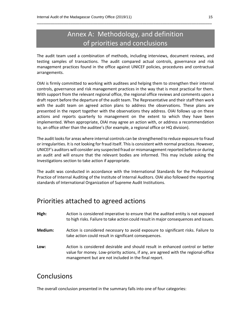### Annex A: Methodology, and definition of priorities and conclusions

\_\_\_\_\_\_\_\_\_\_\_\_\_\_\_\_\_\_\_\_\_\_\_\_\_\_\_\_\_\_\_\_\_\_\_\_\_\_\_\_\_\_\_\_\_\_\_\_\_\_\_\_\_\_\_\_\_\_\_\_\_\_\_\_\_\_\_\_\_\_\_\_\_\_\_\_\_\_

The audit team used a combination of methods, including interviews, document reviews, and testing samples of transactions. The audit compared actual controls, governance and risk management practices found in the office against UNICEF policies, procedures and contractual arrangements.

OIAI is firmly committed to working with auditees and helping them to strengthen their internal controls, governance and risk management practices in the way that is most practical for them. With support from the relevant regional office, the regional office reviews and comments upon a draft report before the departure of the audit team. The Representative and their staff then work with the audit team on agreed action plans to address the observations. These plans are presented in the report together with the observations they address. OIAI follows up on these actions and reports quarterly to management on the extent to which they have been implemented. When appropriate, OIAI may agree an action with, or address a recommendation to, an office other than the auditee's (for example, a regional office or HQ division).

The audit looks for areas where internal controls can be strengthened to reduce exposure to fraud or irregularities. It is not looking for fraud itself. This is consistent with normal practices. However, UNICEF's auditors will consider any suspected fraud or mismanagement reported before or during an audit and will ensure that the relevant bodies are informed. This may include asking the Investigations section to take action if appropriate.

The audit was conducted in accordance with the International Standards for the Professional Practice of Internal Auditing of the Institute of Internal Auditors. OIAI also followed the reporting standards of International Organization of Supreme Audit Institutions.

### Priorities attached to agreed actions

| High:   | Action is considered imperative to ensure that the audited entity is not exposed<br>to high risks. Failure to take action could result in major consequences and issues.                                                     |
|---------|------------------------------------------------------------------------------------------------------------------------------------------------------------------------------------------------------------------------------|
| Medium: | Action is considered necessary to avoid exposure to significant risks. Failure to<br>take action could result in significant consequences.                                                                                   |
| Low:    | Action is considered desirable and should result in enhanced control or better<br>value for money. Low-priority actions, if any, are agreed with the regional-office<br>management but are not included in the final report. |

### **Conclusions**

The overall conclusion presented in the summary falls into one of four categories: